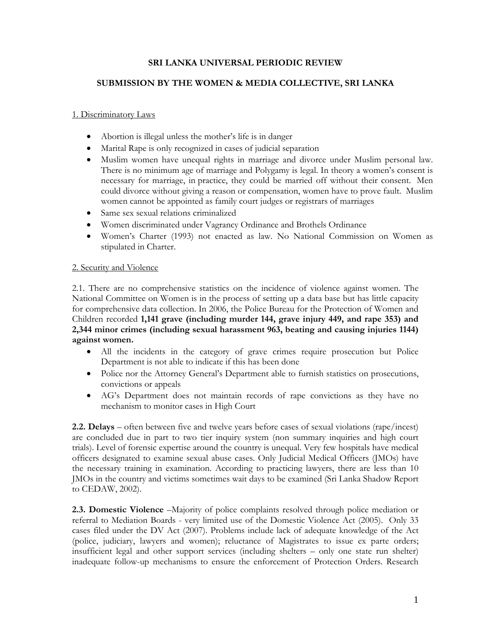# **SRI LANKA UNIVERSAL PERIODIC REVIEW**

# **SUBMISSION BY THE WOMEN & MEDIA COLLECTIVE, SRI LANKA**

### 1. Discriminatory Laws

- Abortion is illegal unless the mother's life is in danger
- Marital Rape is only recognized in cases of judicial separation
- Muslim women have unequal rights in marriage and divorce under Muslim personal law. There is no minimum age of marriage and Polygamy is legal. In theory a women's consent is necessary for marriage, in practice, they could be married off without their consent. Men could divorce without giving a reason or compensation, women have to prove fault. Muslim women cannot be appointed as family court judges or registrars of marriages
- Same sex sexual relations criminalized
- Women discriminated under Vagrancy Ordinance and Brothels Ordinance
- Women's Charter (1993) not enacted as law. No National Commission on Women as stipulated in Charter.

### 2. Security and Violence

2.1. There are no comprehensive statistics on the incidence of violence against women. The National Committee on Women is in the process of setting up a data base but has little capacity for comprehensive data collection. In 2006, the Police Bureau for the Protection of Women and Children recorded **1,141 grave (including murder 144, grave injury 449, and rape 353) and 2,344 minor crimes (including sexual harassment 963, beating and causing injuries 1144) against women.** 

- All the incidents in the category of grave crimes require prosecution but Police Department is not able to indicate if this has been done
- Police nor the Attorney General's Department able to furnish statistics on prosecutions, convictions or appeals
- AG's Department does not maintain records of rape convictions as they have no mechanism to monitor cases in High Court

**2.2. Delays** – often between five and twelve years before cases of sexual violations (rape/incest) are concluded due in part to two tier inquiry system (non summary inquiries and high court trials). Level of forensic expertise around the country is unequal. Very few hospitals have medical officers designated to examine sexual abuse cases. Only Judicial Medical Officers (JMOs) have the necessary training in examination. According to practicing lawyers, there are less than 10 JMOs in the country and victims sometimes wait days to be examined (Sri Lanka Shadow Report to CEDAW, 2002).

**2.3. Domestic Violence** –Majority of police complaints resolved through police mediation or referral to Mediation Boards - very limited use of the Domestic Violence Act (2005). Only 33 cases filed under the DV Act (2007). Problems include lack of adequate knowledge of the Act (police, judiciary, lawyers and women); reluctance of Magistrates to issue ex parte orders; insufficient legal and other support services (including shelters – only one state run shelter) inadequate follow-up mechanisms to ensure the enforcement of Protection Orders. Research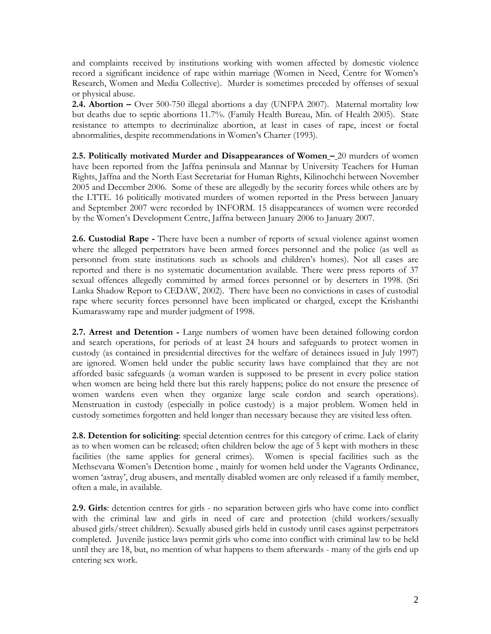and complaints received by institutions working with women affected by domestic violence record a significant incidence of rape within marriage (Women in Need, Centre for Women's Research, Women and Media Collective). Murder is sometimes preceded by offenses of sexual or physical abuse.

**2.4. Abortion –** Over 500-750 illegal abortions a day (UNFPA 2007). Maternal mortality low but deaths due to septic abortions 11.7%. (Family Health Bureau, Min. of Health 2005). State resistance to attempts to decriminalize abortion, at least in cases of rape, incest or foetal abnormalities, despite recommendations in Women's Charter (1993).

**2.5. Politically motivated Murder and Disappearances of Women –** 20 murders of women have been reported from the Jaffna peninsula and Mannar by University Teachers for Human Rights, Jaffna and the North East Secretariat for Human Rights, Kilinochchi between November 2005 and December 2006. Some of these are allegedly by the security forces while others are by the LTTE. 16 politically motivated murders of women reported in the Press between January and September 2007 were recorded by INFORM. 15 disappearances of women were recorded by the Women's Development Centre, Jaffna between January 2006 to January 2007.

**2.6. Custodial Rape -** There have been a number of reports of sexual violence against women where the alleged perpetrators have been armed forces personnel and the police (as well as personnel from state institutions such as schools and children's homes). Not all cases are reported and there is no systematic documentation available. There were press reports of 37 sexual offences allegedly committed by armed forces personnel or by deserters in 1998. (Sri Lanka Shadow Report to CEDAW, 2002). There have been no convictions in cases of custodial rape where security forces personnel have been implicated or charged, except the Krishanthi Kumaraswamy rape and murder judgment of 1998.

**2.7. Arrest and Detention -** Large numbers of women have been detained following cordon and search operations, for periods of at least 24 hours and safeguards to protect women in custody (as contained in presidential directives for the welfare of detainees issued in July 1997) are ignored. Women held under the public security laws have complained that they are not afforded basic safeguards (a woman warden is supposed to be present in every police station when women are being held there but this rarely happens; police do not ensure the presence of women wardens even when they organize large scale cordon and search operations). Menstruation in custody (especially in police custody) is a major problem. Women held in custody sometimes forgotten and held longer than necessary because they are visited less often.

**2.8. Detention for soliciting**: special detention centres for this category of crime. Lack of clarity as to when women can be released; often children below the age of 5 kept with mothers in these facilities (the same applies for general crimes). Women is special facilities such as the Methsevana Women's Detention home , mainly for women held under the Vagrants Ordinance, women 'astray', drug abusers, and mentally disabled women are only released if a family member, often a male, in available.

**2.9. Girls**: detention centres for girls - no separation between girls who have come into conflict with the criminal law and girls in need of care and protection (child workers/sexually abused girls/street children). Sexually abused girls held in custody until cases against perpetrators completed. Juvenile justice laws permit girls who come into conflict with criminal law to be held until they are 18, but, no mention of what happens to them afterwards - many of the girls end up entering sex work.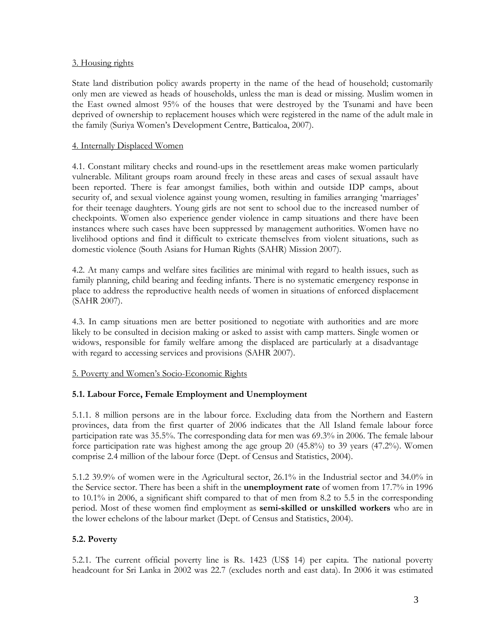#### 3. Housing rights

State land distribution policy awards property in the name of the head of household; customarily only men are viewed as heads of households, unless the man is dead or missing. Muslim women in the East owned almost 95% of the houses that were destroyed by the Tsunami and have been deprived of ownership to replacement houses which were registered in the name of the adult male in the family (Suriya Women's Development Centre, Batticaloa, 2007).

#### 4. Internally Displaced Women

4.1. Constant military checks and round-ups in the resettlement areas make women particularly vulnerable. Militant groups roam around freely in these areas and cases of sexual assault have been reported. There is fear amongst families, both within and outside IDP camps, about security of, and sexual violence against young women, resulting in families arranging 'marriages' for their teenage daughters. Young girls are not sent to school due to the increased number of checkpoints. Women also experience gender violence in camp situations and there have been instances where such cases have been suppressed by management authorities. Women have no livelihood options and find it difficult to extricate themselves from violent situations, such as domestic violence (South Asians for Human Rights (SAHR) Mission 2007).

4.2. At many camps and welfare sites facilities are minimal with regard to health issues, such as family planning, child bearing and feeding infants. There is no systematic emergency response in place to address the reproductive health needs of women in situations of enforced displacement (SAHR 2007).

4.3. In camp situations men are better positioned to negotiate with authorities and are more likely to be consulted in decision making or asked to assist with camp matters. Single women or widows, responsible for family welfare among the displaced are particularly at a disadvantage with regard to accessing services and provisions (SAHR 2007).

#### 5. Poverty and Women's Socio-Economic Rights

## **5.1. Labour Force, Female Employment and Unemployment**

5.1.1. 8 million persons are in the labour force. Excluding data from the Northern and Eastern provinces, data from the first quarter of 2006 indicates that the All Island female labour force participation rate was 35.5%. The corresponding data for men was 69.3% in 2006. The female labour force participation rate was highest among the age group 20  $(45.8\%)$  to 39 years  $(47.2\%)$ . Women comprise 2.4 million of the labour force (Dept. of Census and Statistics, 2004).

5.1.2 39.9% of women were in the Agricultural sector, 26.1% in the Industrial sector and 34.0% in the Service sector. There has been a shift in the **unemployment rate** of women from 17.7% in 1996 to 10.1% in 2006, a significant shift compared to that of men from 8.2 to 5.5 in the corresponding period. Most of these women find employment as **semi-skilled or unskilled workers** who are in the lower echelons of the labour market (Dept. of Census and Statistics, 2004).

## **5.2. Poverty**

5.2.1. The current official poverty line is Rs. 1423 (US\$ 14) per capita. The national poverty headcount for Sri Lanka in 2002 was 22.7 (excludes north and east data). In 2006 it was estimated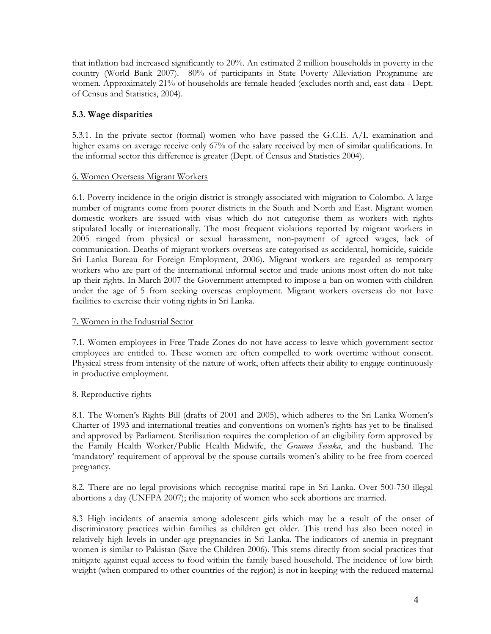that inflation had increased significantly to 20%. An estimated 2 million households in poverty in the country (World Bank 2007). 80% of participants in State Poverty Alleviation Programme are women. Approximately 21% of households are female headed (excludes north and, east data - Dept. of Census and Statistics, 2004).

# **5.3. Wage disparities**

5.3.1. In the private sector (formal) women who have passed the G.C.E. A/L examination and higher exams on average receive only 67% of the salary received by men of similar qualifications. In the informal sector this difference is greater (Dept. of Census and Statistics 2004).

### 6. Women Overseas Migrant Workers

6.1. Poverty incidence in the origin district is strongly associated with migration to Colombo. A large number of migrants come from poorer districts in the South and North and East. Migrant women domestic workers are issued with visas which do not categorise them as workers with rights stipulated locally or internationally. The most frequent violations reported by migrant workers in 2005 ranged from physical or sexual harassment, non-payment of agreed wages, lack of communication. Deaths of migrant workers overseas are categorised as accidental, homicide, suicide Sri Lanka Bureau for Foreign Employment, 2006). Migrant workers are regarded as temporary workers who are part of the international informal sector and trade unions most often do not take up their rights. In March 2007 the Government attempted to impose a ban on women with children under the age of 5 from seeking overseas employment. Migrant workers overseas do not have facilities to exercise their voting rights in Sri Lanka.

### 7. Women in the Industrial Sector

7.1. Women employees in Free Trade Zones do not have access to leave which government sector employees are entitled to. These women are often compelled to work overtime without consent. Physical stress from intensity of the nature of work, often affects their ability to engage continuously in productive employment.

## 8. Reproductive rights

8.1. The Women's Rights Bill (drafts of 2001 and 2005), which adheres to the Sri Lanka Women's Charter of 1993 and international treaties and conventions on women's rights has yet to be finalised and approved by Parliament. Sterilisation requires the completion of an eligibility form approved by the Family Health Worker/Public Health Midwife, the *Graama Sevaka*, and the husband. The 'mandatory' requirement of approval by the spouse curtails women's ability to be free from coerced pregnancy.

8.2. There are no legal provisions which recognise marital rape in Sri Lanka. Over 500-750 illegal abortions a day (UNFPA 2007); the majority of women who seek abortions are married.

8.3 High incidents of anaemia among adolescent girls which may be a result of the onset of discriminatory practices within families as children get older. This trend has also been noted in relatively high levels in under-age pregnancies in Sri Lanka. The indicators of anemia in pregnant women is similar to Pakistan (Save the Children 2006). This stems directly from social practices that mitigate against equal access to food within the family based household. The incidence of low birth weight (when compared to other countries of the region) is not in keeping with the reduced maternal